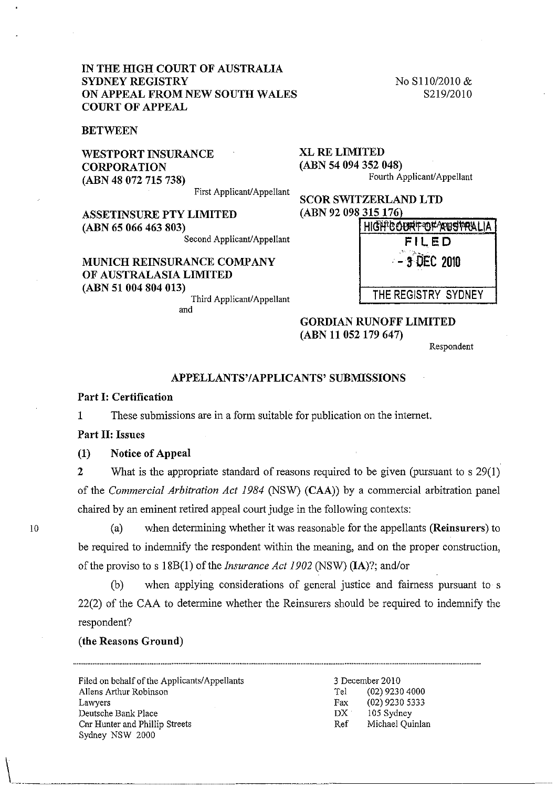# IN THE HIGH COURT OF AUSTRALIA SYDNEY REGISTRY ON APPEAL FROM NEW SOUTH WALES COURT OF APPEAL

**BETWEEN** 

WESTPORT INSURANCE **CORPORATION** (ABN 48 072 715 738)

No S110/2010 & S219/2010

XL RE LIMITED (ABN 54 094 352 048) Fourth Applicant/Appellant

First Applicant/Appellant

ASSETINSURE PTY LIMITED (ABN 65 066 463 803)

Second Applicant/Appellant

# MUNICH REINSURANCE COMPANY OF AUSTRALASIA LIMITED (ABN 51 004 804 013)

Third Applicant/Appellant and

| <b>SCOR SWITZERLAND LTD</b> |                        |
|-----------------------------|------------------------|
| (ABN 92 098 315 176)        |                        |
|                             | HIGHTCOURTOTARUSTRALIA |
|                             | FILED                  |
|                             | $-3$ OEC 2010          |
|                             | THE REGISTRY SYDNEY    |

GORDIAN RUNOFF LIMITED (ABN 11 052 179 647)

Respondent

#### APPELLANTS'/APPLICANTS' SUBMISSIONS

## Part I: Certification

1 These submissions are in a form suitable for publication on the internet.

#### Part II: Issues

10

 $\begin{pmatrix} 1 & 1 \\ 1 & 1 \end{pmatrix}$ 

(1) Notice of Appeal

2 What is the appropriate standard of reasons required to be given (pursuant to s 29(1) of the *Commercial Arbitration Act* 1984 (NSW) (CAA)) by a commercial arbitration panel chaired by an eminent retired appeal court judge in the following contexts:

(a) when determining whether it was reasonable for the appellants (Reinsurers) to be required to indemnify the respondent within the meaning, and on the proper construction, of the proviso to s 18B(1) of the *Insurance Act 1902* (NSW) (lA)?; and/or

(b) when applying considerations of general justice and fairness pursuant to s 22(2) of the CAA to determine whether the Reinsurers should be required to indemnify the respondent?

# (the Reasons Ground)

Filed on behalf of the Applicants/Appellants Allens Arthur Robinson Lawyers Deutsche Bank Place Cnr Hunter and Phillip Streets Sydney NSW 2000

3 December 2010 Tel (02) 9230 4000 Fax (02) 9230 5333 DX 105 Sydney Ref Michael Quinlan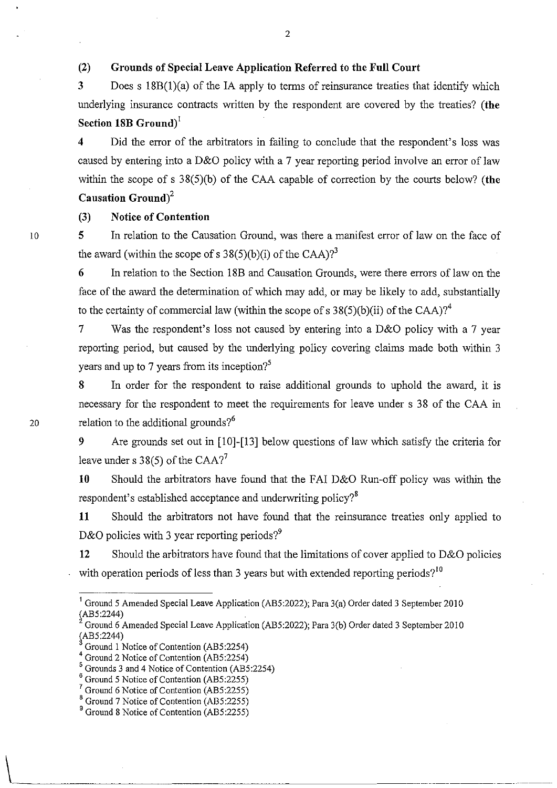# (2) Grounds of Special Leave Application Referred to the Full Court

3 Does s 18B(I)(a) of the lA apply to terms of reinsurance treaties that identify which underlying insurance contracts written by the respondent are covered by the treaties? (the Section 18B Ground)<sup> $I$ </sup>

4 Did the error of the arbitrators in failing to conclude that the respondent's loss was caused by entering into a D&O policy with a 7 year reporting period involve an error of law within the scope of s  $38(5)(b)$  of the CAA capable of correction by the courts below? (the Causation  $Ground<sup>2</sup>$ 

# (3) Notice of Contention

5 In relation to the Causation Ground, was there a manifest error of law on the face of the award (within the scope of s  $38(5)(b)(i)$  of the CAA)?<sup>3</sup>

6 In relation to the Section 18B and Causation Grounds, were there errors of law on the face of the award the determination of which may add, or may be likely to add, substantially to the certainty of commercial law (within the scope of s  $38(5)(b)(ii)$  of the CAA)?<sup>4</sup>

Was the respondent's loss not caused by entering into a D&O policy with a 7 year reporting period, but caused by the underlying policy covering claims made both within 3 years and up to 7 years from its inception?<sup>5</sup>

8 In order for the respondent to raise additional grounds to uphold the award, it is necessary for the respondent to meet the requirements for leave under s 38 of the CAA in 20 relation to the additional grounds? $6<sup>6</sup>$ 

> 9 Are grounds set out in [10]-[13] below questions of law which satisfy the criteria for leave under s  $38(5)$  of the CAA?<sup>7</sup>

> 10 Should the arbitrators have found that the FAI D&O Run-off policy was within the respondent's established acceptance and underwriting policy?<sup>8</sup>

> 11 Should the arbitrators not have found that the reinsurance treaties only applied to D&O policies with 3 year reporting periods?<sup>9</sup>

> 12 Should the arbitrators have found that the limitations of cover applied to D&O policies with operation periods of less than 3 years but with extended reporting periods?<sup>10</sup>

10

 $\setminus$ 

<sup>&</sup>lt;sup>1</sup> Ground 5 Amended Special Leave Application (AB5:2022); Para  $3(a)$  Order dated 3 September 2010  $(AB5:2244)$ 

Ground 6 Amended Special Leave Application (AB5:2022); Para 3(b) Order dated 3 September 20 I 0  $(AB5:2244)$ 

Ground I Notice of Contention (AB5:2254)

<sup>&</sup>lt;sup>4</sup> Ground 2 Notice of Contention (AB5:2254)

<sup>5</sup> Grounds 3 and 4 Notice of Contention (AB5:2254)

<sup>&</sup>lt;sup>6</sup> Ground 5 Notice of Contention (AB5:2255)

Ground 6 Notice of Contention (AB5:2255)

<sup>8</sup> Ground 7 Notice of Contention (AB5:2255)

<sup>&</sup>lt;sup>9</sup> Ground 8 Notice of Contention (AB5:2255)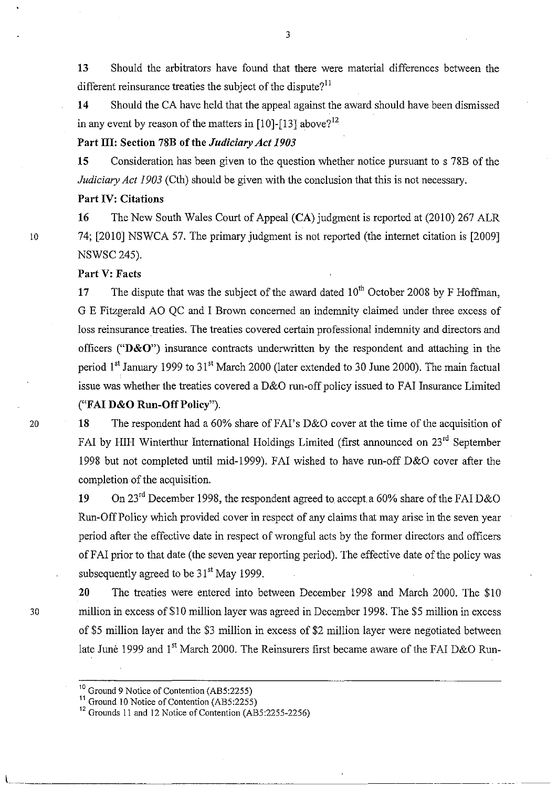13 Should the arbitrators have found that there were material differences between the different reinsurance treaties the subject of the dispute?<sup>11</sup>

14 Should the CA have held that the appeal against the award should have been dismissed in any event by reason of the matters in  $[10]-[13]$  above?<sup>12</sup>

# Part III: Section 78B of the *Judiciary Act 1903*

15 Consideration has been given to the question whether notice pursuant to s 78B of the *Judiciary Act 1903* (Cth) should be given with the conclusion that this is not necessary.

# Part IV: Citations

16 The New South Wales Court of Appeal (CA) judgment is reported at (2010) 267 ALR 10 74; [2010] NSWCA 57. The primary judgment is not reported (the internet citation is [2009] NSWSC245).

# Part V: Facts

17 The dispute that was the subject of the award dated  $10<sup>th</sup>$  October 2008 by F Hoffman, G E Fitzgerald AO QC and I Brown concerned an indemnity claimed under three excess of loss reinsurance treaties. The treaties covered certain professional indemnity and directors and officers (" $D&O$ ") insurance contracts underwritten by the respondent and attaching in the period 1<sup>st</sup> January 1999 to 31<sup>st</sup> March 2000 (later extended to 30 June 2000). The main factual issue was whether the treaties covered a D&O run-off policy issued to FAI Insurance Limited ("FAI D&O Run-Off Policy").

# 20 18 The respondent had a 60% share of FAI's D&O cover at the time of the acquisition of FAI by HIH Winterthur International Holdings Limited (first announced on 23<sup>rd</sup> September

1998 but not completed until mid-1999). F AI wished to have run-off D&O cover after the completion of the acquisition.

19 On 23<sup>rd</sup> December 1998, the respondent agreed to accept a 60% share of the FAI D&O Run-Off Policy which provided cover in respect of any claims that may arise in the seven year period after the effective date in respect of wrongful acts by the former directors and officers ofFAl prior to that date (the seven year reporting period). The effective date of the policy was subsequently agreed to be  $31<sup>st</sup>$  May 1999.

20 The treaties were entered into between December 1998 and March 2000. The \$10 30 million in excess of\$10 million layer was agreed in December 1998. The \$5 million in excess of \$5 million layer and the \$3 million in excess of \$2 million layer were negotiated between late June 1999 and  $1<sup>st</sup>$  March 2000. The Reinsurers first became aware of the FAI D&O Run-

1 ... \_ .. \_\_\_\_\_\_\_\_\_\_\_\_\_ \_

<sup>&</sup>lt;sup>10</sup> Ground 9 Notice of Contention (AB5:2255)

 $\frac{11}{10}$  Ground 10 Notice of Contention (AB5:2255)

<sup>&</sup>lt;sup>12</sup> Grounds 11 and 12 Notice of Contention (AB5:2255-2256)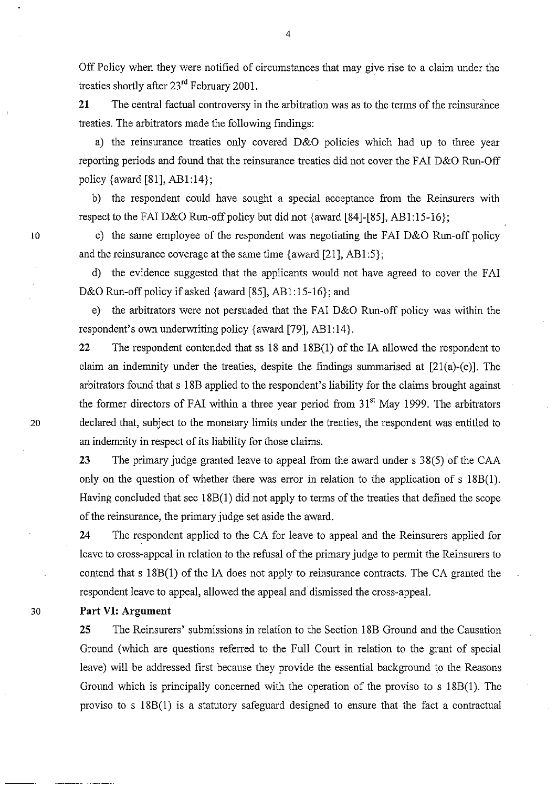Off Policy when they were notified of circumstances that may give rise to a claim under the treaties shortly after 23rd February 2001.

**21** The central factual controversy in the arbitration was as to the terms of the reinsurance treaties. The arbitrators made the following findings:

a) the reinsurance treaties only covered D&O policies which had up to three year reporting periods and found that the reinsurance treaties did not cover the FAI D&O Run-Off policy {award [81],  $AB1:14$ };

b) the respondent could have sought a special acceptance from the Reinsurers with respect to the FAI D&O Run-off policy but did not {award  $[84]$ - $[85]$ , AB1:15-16};

c) the same employee of the respondent was negotiating the FAI D&O Run-off policy and the reinsurance coverage at the same time  $\{award [21], AB1:5\};$ 

d) the evidence suggested that the applicants would not have agreed to cover the FAI D&O Run-off policy if asked {award [85], AB1:15-16}; and

e) the arbitrators were not persuaded that the FAI D&O Run-off policy was within the respondent's own underwriting policy {award [79], AB1:14}.

**22** The respondent contended that ss 18 and 18B(1) of the lA allowed the respondent to claim an indemnity under the treaties, despite the findings sunnnarised at [21(a)-(e)]. The arbitrators found that s 18B applied to the respondent's liability for the claims brought against the former directors of FAI within a three year period from  $31<sup>st</sup>$  May 1999. The arbitrators 20 declared that, subject to the monetary limits under the treaties, the respondent was entitled to an indemnity in respect of its liability for those claims.

> **23** The primary judge granted leave to appeal from the award under s 38(5) of the CAA only on the question of whether there was error in relation to the application of s l8B(I). Having concluded that sec 18B(1) did not apply to terms of the treaties that defined the scope of the reinsurance, the primary judge set aside the award.

> 24 The respondent applied to the CA for leave to appeal and the Reinsurers applied for leave to cross-appeal in relation to the refusal of the primary judge to permit the Reinsurers to contend that s l8B(1) of the lA does not apply to reinsurance contracts. The CA granted the respondent leave to appeal, allowed the appeal and dismissed the cross-appeal.

# 30 **Part VI: Argument**

10

**25** The Reinsurers' submissions in relation to the Section 18B Ground and the Causation Ground (which are questions referred to the Full Court in relation to the grant of special leave) will be addressed first because they provide the essential background to the Reasons Ground which is principally concerned with the operation of the proviso to s 18B(l). The proviso to s 18B(1) is a statutory safeguard designed to ensure that the fact a contractual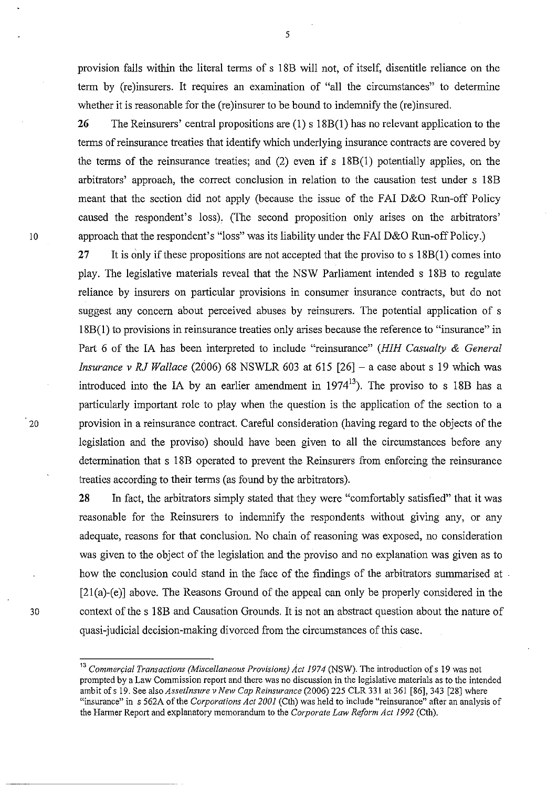provision falls within the literal terms of s 18B will not, of itself, disentitle reliance on the term by (re )insurers. It requires an examination of "all the circumstances" to determine whether it is reasonable for the (re)insurer to be bound to indemnify the (re)insured.

**26** The Reinsurers' central propositions are (1) s 18B(1) has no relevant application to the terms of reinsurance treaties that identify which underlying insurance contracts are covered by the terms of the reinsurance treaties; and (2) even if s 18B(1) potentially applies, on the arbitrators' approach, the correct conclusion in relation to the causation test under s 18B meant that the section did not apply (because the issue of the FAI D&O Run-off Policy caused the respondent's loss). (The second proposition only arises on the arbitrators' 10 approach that the respondent's "loss" was its liability under the FAI D&O Run-off Policy.)

**27** It is only if these propositions are not accepted that the proviso to s 18B(I) comes into play. The legislative materials reveal that the NSW Parliament intended s 18B to regulate reliance by insurers on particular provisions in consumer insurance contracts, but do not suggest any concern about perceived abuses by reinsurers. The potential application of s 18B(I) to provisions in reinsurance treaties only arises because the reference to "insurance" in Part 6 of the lA has been interpreted to include "reinsurance" *(HIH Casualty* & *General Insurance* v *RJ Wallace* (2006) 68 NSWLR 603 at 615 [26] - a case about s 19 which was introduced into the IA by an earlier amendment in  $1974^{13}$ ). The proviso to s 18B has a particularly important role to play when the question is the application of the section to a 20 provision in a reinsurance contract. Careful consideration (having regard to the objects of the legislation and the proviso) should have been given to all the circumstances before any determination that s 18B operated to prevent the Reinsurers from enforcing the reinsurance treaties according to their terms (as found by the arbitrators).

**28** In fact, the arbitrators simply stated that they were "comfortably satisfied" that it was reasonable for the Reinsurers to indemnify the respondents without giving any, or any adequate, reasons for that conclusion. No chain of reasoning was exposed, no consideration was given to the object of the legislation and the proviso and no explanation was given as to how the conclusion could stand in the face of the findings of the arbitrators summarised at  $\cdot$ [21(a)-(e)] above. The Reasons Ground of the appeal can only be properly considered in the 30 context of the s 18B and Causation Grounds. It is not an abstract question about the nature of quasi-judicial decision-making divorced from the circumstances of this case.

<sup>&</sup>lt;sup>13</sup> Commercial Transactions (Miscellaneous Provisions) Act 1974 (NSW). The introduction of s 19 was not prompted by a Law Commission report and there was no discussion in the legislative materials as to the intended ambit of s 19. See also *AssetInsure* v *New Cap Reinsurance* (2006) 225 CLR 331 at 361 [86], 343 [28] where "insurance" in s 562A of the *Corporations Act 2001* (Cth) was held to include "reinsurance" after an analysis of the Harmer Report and explanatory memorandum to the *Corporate Law Reform Act* 1992 (Cth).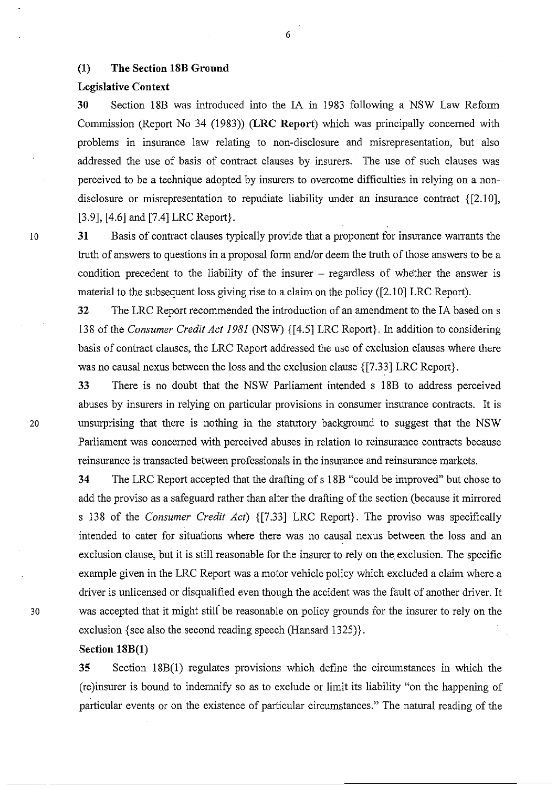# (1) The Section 18B Ground

## Legislative Context

30 Section 18B was introduced into the lA in 1983 following a NSW Law Reform Commission (Report No 34 (1983» (LRC Report) which was principally concerned with problems in insurance law relating to non-disclosure and misrepresentation, but also addressed the use of basis of contract clauses by insurers. The use of such clauses was perceived to be a technique adopted by insurers to overcome difficulties in relying on a nondisclosure or misrepresentation to repudiate liability under an insurance contract {[2.l0], [3.9], [4.6] and [7.4] LRC Report}.

31 Basis of contract clauses typically provide that a proponent for insurance warrants the truth of answers to questions in a proposal form and/or deem the truth of those answers to be a condition precedent to the liability of the insurer – regardless of whether the answer is material to the subsequent loss giving rise to a claim on the policy ([2.10] LRC Report).

32 The LRC Report recommended the introduction of an amendment to the lA based on s 138 of the *Consumer Credit Act* 1981 (NSW) {[4.5] LRC Report}. In addition to considering basis of contract clauses, the LRC Report addressed the use of exclusion clauses where there was no causal nexus between the loss and the exclusion clause {[7.33] LRC Report}.

33 There is no doubt that the NSW Parliament intended s 18B to address perceived abuses by insurers in relying on particular provisions in consumer insurance contracts. It is 20 unsurprising that there is nothing in the statutory background to suggest that the NSW Parliament was concerned with perceived abuses in relation to reinsurance contracts because reinsurance is transacted between professionals in the insurance and reinsurance markets.

34 The LRC Report accepted that the drafting of s 18B "could be improved" but chose to add the proviso as a safeguard rather than alter the drafting of the section (because it mirrored s 138 of the *Consumer Credit Act)* {[7.33] LRC Report}. The proviso was specifically intended to cater for situations where there was no causal nexus between the loss and an exclusion clause, but it is still reasonable for the insurer to rely on the exclusion. The specific example given in the LRC Report was a motor vehicle policy which excluded a claim where.a driver is unlicensed or disqualified even though the accident was the fault of another driver. It 30 was accepted that it might stili be reasonable on policy grounds for the insurer to rely on the exclusion {see also the second reading speech (Hansard *132S)}.* 

## Section 18B(1)

35 Section 18B(I) regulates provisions which define the circumstances in which the (re)insurer is bound to indemnify so as to exclude or limit its liability "on the happening of particular events or on the existence of particular circumstances." The natural reading of the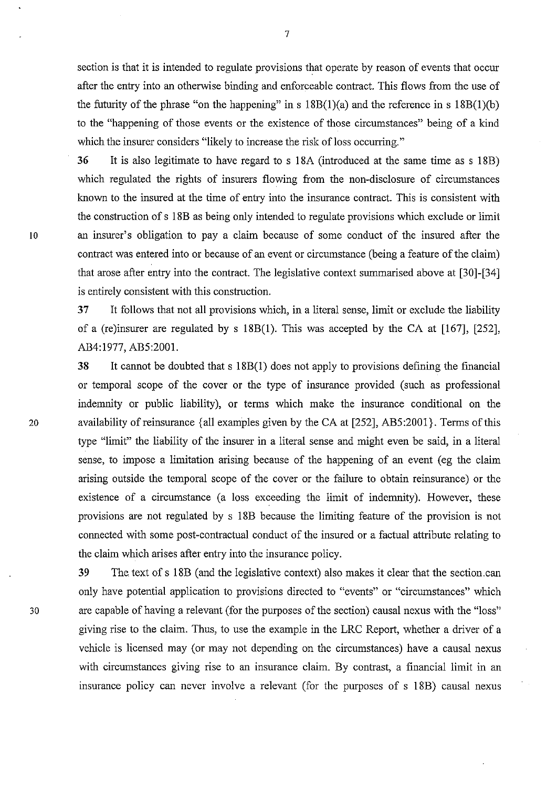section is that it is intended to regulate provisions that operate by reason of events that occur after the entry into an otherwise binding and enforceable contract. This flows from the use of the futurity of the phrase "on the happening" in s  $18B(1)(a)$  and the reference in s  $18B(1)(b)$ to the "happening of those events or the existence of those circumstances" being of a kind which the insurer considers "likely to increase the risk of loss occurring."

36 It is also legitimate to have regard to s ISA (introduced at the same time as s ISB) which regulated the rights of insurers flowing from the non-disclosure of circumstances known to the insured at the time of entry into the insurance contract. This is consistent with the construction of s ISB as being only intended to regulate provisions which exclude or limit 10 an insurer's obligation to pay a claim because of some conduct of the insured after the contract was entered into or because of an event or circumstance (being a feature of the claim) that arose after entry into the contract. The legislative context summarised above at [30]-[34] is entirely consistent with this construction.

> 37 It follows that not all provisions which, in a literal sense, limit or exclude the liability of a (re)insurer are regulated by s  $18B(1)$ . This was accepted by the CA at [167], [252], AB4:1977, AB5:2001.

38 It cannot be doubted that s 18B(l) does not apply to provisions defining the financial or temporal scope of the cover or the type of insurance provided (such as professional indemnity or public liability), or terms which make the insurance conditional on the 20 availability of reinsurance {all examples given by the CA at  $[252]$ , AB5:2001}. Terms of this type "limit" the liability of the insurer in a literal sense and might even be said, in a literal sense, to impose a limitation arising because of the happening of an event (eg the claim arising outside the temporal scope of the cover or the failure to obtain reinsurance) or the existence of a circumstance (a loss exceeding the limit of indemnity). However, these provisions are not regulated by s ISB because the limiting feature of the provision is not connected with some post-contractual conduct of the insured or a factual attribute relating to the claim which arises after entry into the insurance policy.

39 The text of s ISB (and the legislative context) also makes it clear that the section.can only have potential application to provisions directed to "events" or "circumstances" which 30 are capable of having a relevant (for the purposes of the section) causal nexus with the "loss" giving rise to the claim. Thus, to use the example in the LRC Report, whether a driver of a vehicle is licensed may (or may not depending on the circumstances) have a causal nexus with circumstances giving rise to an insurance claim. By contrast, a financial limit in an insurance policy can never involve a relevant (for the purposes of s ISB) causal nexus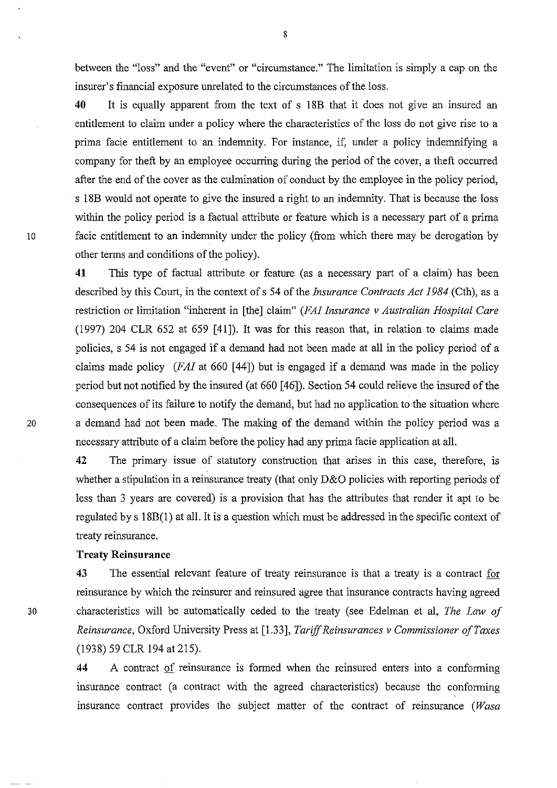between the "loss" and the "event" or "circumstance." The limitation is simply a cap on the insurer's financial exposure unrelated to the circumstances of the loss.

**40** It is equally apparent from the text of s 18B that it does not give an insured an entitlement to claim under a policy where the characteristics of the loss do not give rise to a prima facie entitlement to an indemnity. For instance, if, under a policy indemnifying a company for theft by an employee occurring during the period of the cover, a theft occurred after the end of the cover as the culmination of conduct by the employee in the policy period, s 18B would not operate to give the insured a right to an indemnity. That is because the loss within the policy period is a factual attribute or feature which is a necessary part of a prima 10 facie entitlement to an indemnity under the policy (from which there may be derogation by other terms and conditions of the policy).

**41** This type of factual attribute or feature (as a necessary part of a claim) has been described by this Court, in the context of s 54 of the *Insurance Contracts Act 1984* (Cth), as a restriction or limitation "inherent in [the] claim" *(FAI Insurance v Australian Hospital Care*  (1997) 204 CLR 652 at 659 [41]). It was for this reason that, in relation to claims made policies, s 54 is not engaged if a demand had not been made at all in the policy period of a claims made policy *(FAI* at 660 [44]) but is engaged if a demand was made in the policy period but not notified by the insured (at 660 [46]). Section 54 could relieve the insured of the consequences of its failure to notify the demand, but had no application to the situation where 20 a demand had not been made. The making of the demand within the policy period was a necessary attribute of a claim before the policy had any prima facie application at all.

> **42** The primary issue of statutory construction that arises in this case, therefore, is whether a stipulation in a reinsurance treaty (that only D&O policies with reporting periods of less than 3 years are covered) is a provision that has the attributes that render it apt to be regulated by s 18B(1) at all. It is a question which must be addressed in the specific context of treaty reinsurance.

## **Treaty Reinsurance**

**43** The essential relevant feature of treaty reinsurance is that a treaty is a contract for reinsurance by which the reinsurer and reinsured agree that insurance contracts having agreed 30 characteristics will be automatically ceded to the treaty (see Edelman et ai, *The Law of Reinsurance,* Oxford University Press at [1.33], *Tariff Reinsurances v Commissioner of Taxes*  (1938) 59 CLR 194 at 215).

> **44** A contract of reinsurance is formed when the reinsured enters into a conforming insurance contract (a contract with the agreed characteristics) because the conforming insurance contract provides the subject matter of the contract of reinsurance (Wasa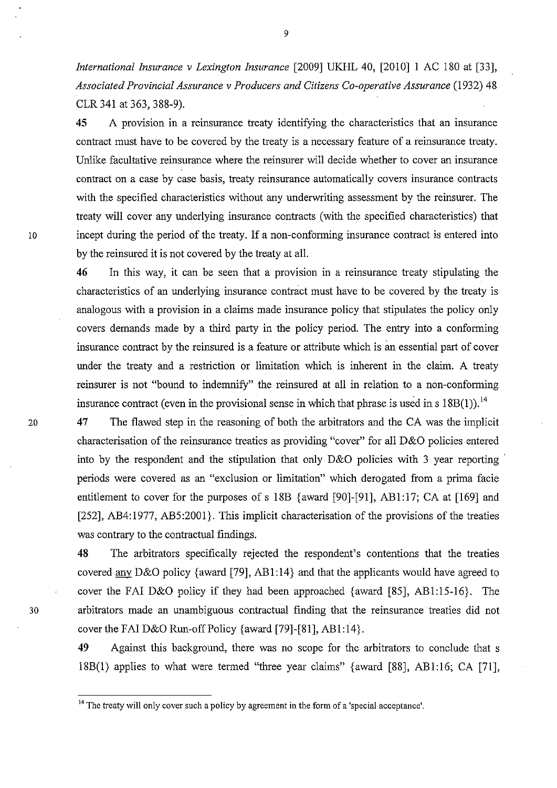*International Insurance* v *Lexington Insurance* [2009] UKHL 40, [2010] 1 AC 180 at [33], *Associated Provincial Assurance* v *Producers and Citizens Co-operative Assurance* (1932) 48 CLR 341 at 363, 388-9).

45 A provision in a reinsurance treaty identifying the characteristics that an insurance contract must have to be covered by the treaty is a necessary feature of a reinsurance treaty. Unlike facultative reinsurance where the reinsurer will decide whether to cover an insurance contract on a case by case basis, treaty reinsurance automatically covers insurance contracts with the specified characteristics without any underwriting assessment by the reinsurer. The treaty will cover any underlying insurance contracts (with the specified characteristics) that 10 incept during the period of the treaty. If a non-conforming insurance contract is entered into by the reinsured it is not covered by the treaty at all.

> 46 In this way, it can be seen that a provision in a reinsurance treaty stipulating the characteristics of an underlying insurance contract must have to be covered by the treaty is analogous with a provision in a claims made insurance policy that stipulates the policy only covers demands made by a third party in the policy period. The entry into a conforming insurance contract by the reinsured is a feature or attribute which is an essential part of cover under the treaty and a restriction or limitation which is inherent in the claim. A treaty reinsurer is not "bound to indemnify" the reinsured at all in relation to a non-conforming insurance contract (even in the provisional sense in which that phrase is used in s  $18B(1)$ ).<sup>14</sup>

20 47 The flawed step in the reasoning of both the arbitrators and the CA was the implicit characterisation of the reinsurance treaties as providing "cover" for all D&O policies entered into by the respondent and the stipulation that only D&O policies with 3 year reporting . periods were covered as an "exclusion or limitation" which derogated from a prima facie entitlement to cover for the purposes of s 18B {award [90]-[91], AB1:17; CA at [169] and [252], AB4:1977, AB5:2001}. This implicit characterisation of the provisions of the treaties was contrary to the contractual findings.

48 The arbitrators specifically rejected the respondent's contentions that the treaties covered any D&O policy {award [79], AB1:14} and that the applicants would have agreed to cover the FAI D&O policy if they had been approached {award [85], AB1:15-16}. The 30 arbitrators made an unambiguous contractual finding that the reinsurance treaties did not cover the FAI D&O Run-off Policy {award [79]-[81], AB1:14}.

> 49 Against this background, there was no scope for the arbitrators to conclude that s 18B(1) applies to what were termed "three year claims" {award [88], ABI:16; CA [71],

<sup>&</sup>lt;sup>14</sup> The treaty will only cover such a policy by agreement in the form of a 'special acceptance'.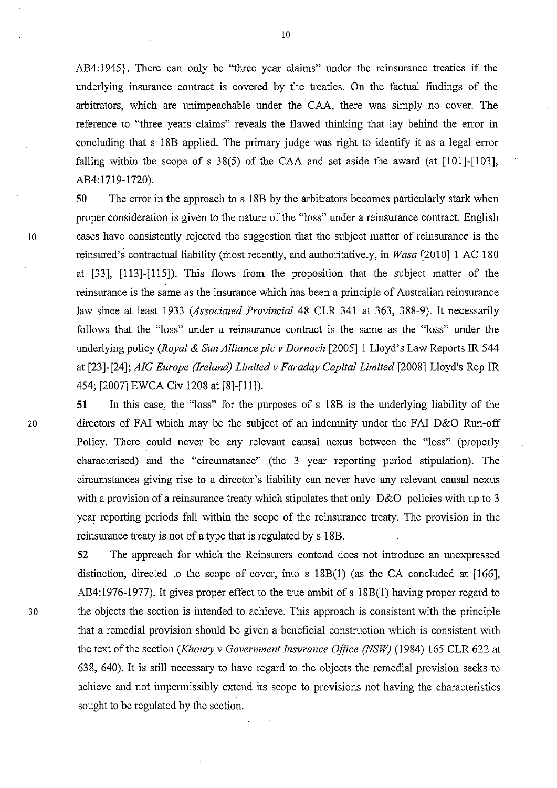AB4:1945}. There can only be "three year claims" under the reinsurance treaties if the underlying insurance contract is covered by the treaties. On the factual findings of the arbitrators, which are unimpeachable under the CAA, there was simply no cover. The reference to "three years claims" reveals the flawed thinking that lay behind the error in concluding that s 18B applied. The primary judge was right to identify it as a legal error falling within the scope of s  $38(5)$  of the CAA and set aside the award (at [101]-[103], AB4:1719-1720).

**50** The error in the approach to s 18B by the arbitrators becomes particularly stark when proper consideration is given to the nature of the "loss" under a reinsurance contract. English 10 cases have consistently rejected the suggestion that the subject matter of reinsurance is the reinsured's contractual liability (most recently, and authoritatively, in *Wasa* [2010]1 AC 180 at [33], [113]-[115]). This flows from the proposition that the subject matter of the reinsurance is the same as the insurance which has been a principle of Australian reinsurance law since at least 1933 *(Associated Provincial* 48 CLR 341 at 363, 388-9). It necessarily follows that the "loss" under a reinsurance contract is the same as the "loss" under the underlying policy *(Royal* & *Sun Alliance plc* v *Dornoch* [2005]1 Lloyd's Law Reports 1R 544 at [23]-[24]; *AIG Europe (Ireland) Limited* v *Faraday Capital Limited* [2008] Lloyd's Rep IR 454; [2007] EWCA Civ 1208 at [8]-[11]).

**51** In this case, the "loss" for the purposes of s 18B is the underlying liability of the 20 directors of FAI which may be the subject of an indemnity under the FAI D&O Run-off Policy. There could never be any relevant causal nexus between the "loss" (properly characterised) and the "circumstance" (the 3 year reporting period stipulation). The circumstances giving rise to a director's liability can never have any relevant causal nexus with a provision of a reinsurance treaty which stipulates that only D&O policies with up to 3 year reporting periods fall within the scope of the reinsurance treaty. The provision in the reinsurance treaty is not of a type that is regulated by s 18B.

**52** The approach for which the Reinsurers contend does not introduce an unexpressed distinction, directed to the scope of cover, into s 18B(I) (as the CA concluded at [166], AB4:1976-1977). It gives proper effect to the true ambit of s 18B(1) having proper regard to 30 the objects the section is intended to achieve. This approach is consistent with the principle that a remedial provision should be given a beneficial construction which is consistent with the text of the section *(Khoury* v *Government Insurance Office (NSW)* (1984) 165 CLR 622 at 638, 640). It is still necessary to have regard to the objects the remedial provision seeks to achieve and not impermissibly extend its scope to provisions not having the characteristics sought to be regulated by the section.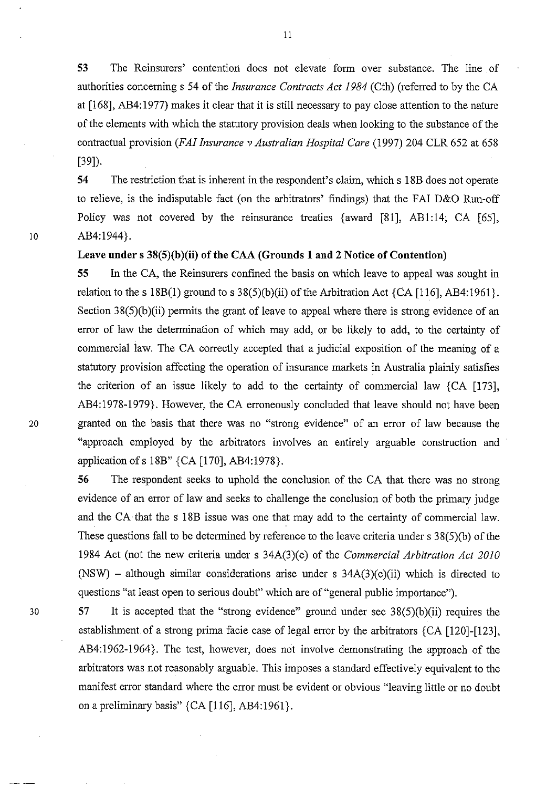**53** The Reinsurers' contention does not elevate form over substance. The line of authorities concerning s 54 of the *Insurance Contracts Act* 1984 (Cth) (referred to by the CA at [168], AB4: 1977) makes it clear that it is still necessary to pay close attention to the nature of the elements with which the statutory provision deals when looking to the substance of the contractual provision *(FAI Insurance v Australian Hospital Care* (1997) 204 CLR 652 at 658 [39]).

**54** The restriction that is inherent in the respondent's claim, which s 18B does not operate to relieve, is the indisputable fact (on the arbitrators' findings) that the FAl D&O Run-off Policy was not covered by the reinsurance treaties {award [81], AB1:14; CA [65], 10 AB4:l944}.

## **Leave under** s 38(5)(b)(ii) of the **CAA (Grounds 1 and 2 Notice** of Contention)

**55 In** the CA, the Reinsurers confined the basis on which leave to appeal was sought in relation to the s  $18B(1)$  ground to s  $38(5)(b)(ii)$  of the Arbitration Act {CA [116], AB4:1961}. Section 38(5)(b)(ii) permits the grant of leave to appeal where there is strong evidence of an error of law the determination of which may add, or be likely to add, to the certainty of commercial law. The CA correctly accepted that a judicial exposition of the meaning of a statutory provision affecting the operation of insurance markets in Australia plainly satisfies the criterion of an issue likely to add to the certainty of commercial law  ${CA [173]}$ , AB4: 1978-1979}. However, the CA erroneously concluded that leave should not have been 20 granted on the basis that there was no "strong evidence" of an error of law because the "approach employed by the arbitrators involves an entirely arguable construction and application ofs 18B" {CA [170], AB4:1978}.

> **56** The respondent seeks to uphold the conclusion of the CA that there was no strong evidence of an error of law and seeks to challenge the conclusion of both the primary judge and the CA that the s 18B issue was one that may add to the certainty of commercial law. These questions fall to be determined by reference to the leave criteria under s 38(5)(b) of the 1984 Act (not the new criteria under s 34A(3)(c) of the *Commercial Arbitration Act 2010*   $(NSW)$  – although similar considerations arise under s  $34A(3)(c)(ii)$  which is directed to questions "at least open to serious doubt" which are of "general public importance").

30 57 It is accepted that the "strong evidence" ground under sec 38(5)(b)(ii) requires the establishment of a strong prima facie case of legal error by the arbitrators {CA [120]-[123], AB4: 1962-1964}. The test, however, does not involve demonstrating the approach of the arbitrators was not reasonably arguable. This imposes a standard effectively equivalent to the manifest error standard where the error must be evident or obvious "leaving little or no doubt on a preliminary basis" {CA [116], AB4:1961}.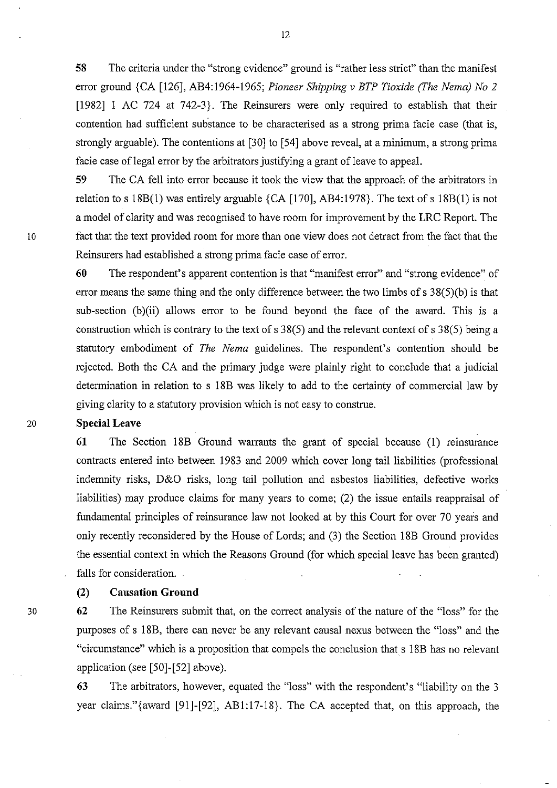**58** The criteria under the "strong evidence" ground is "rather less strict" than the manifest error ground {CA [126], AB4:1964-1965; *Pioneer Shipping* v *BTP Tioxide (The Nema) No 2*  [1982] 1 AC 724 at 742-3}. The Reinsurers were only required to establish that their contention had sufficient suhstance to be characterised as a strong prima facie case (that is, strongly arguable). The contentions at [30] to [54] above reveal, at a minimum, a strong prima facie case of legal error by the arbitrators justifying a grant of leave to appeal.

**59** The CA fell into error because it took the view that the approach of the arbitrators in relation to s  $18B(1)$  was entirely arguable {CA [170], AB4:1978}. The text of s  $18B(1)$  is not a model of clarity and was recognised to have room for improvement by the LRC Report. The 10 fact that the text provided room for more than one view does not detract from the fact that the Reinsurers had established a strong prima facie case of error.

> **60** The respondent's apparent contention is that "manifest error" and "strong evidence" of error means the same thing and the only difference between the two limbs of  $s$  38(5)(b) is that sub-section  $(b)(ii)$  allows error to be found beyond the face of the award. This is a construction which is contrary to the text of s 38(5) and the relevant context of s 38(5) being a statutory embodiment of *The Nema* guidelines. The respondent's contention should be rejected. Both the CA and the primary judge were plainly right to conclude that a judicial determination in relation to s 18B was likely to add to the certainty of commercial law by giving clarity to a statutory provision which is not easy to construe.

#### 20 **Special Leave**

**61** The Section 18B Ground warrants the grant of special because (1) remsurance contracts entered into between 1983 and 2009 which cover long tail liabilities (professional indemnity risks, D&O risks, long tail pollution and asbestos liabilities, defective works liabilities) may produce claims for many years to come; (2) the issue entails reappraisal of fundamental principles of reinsurance law not looked at by this Court for over 70 years and only recently reconsidered by the House of Lords; and (3) the Section 18B Ground provides the essential context in which the Reasons Ground (for which special leave has been granted) falls for consideration.

# (2) **Causation Ground**

**62** The Reinsurers submit that, on the correct analysis of the nature of the "loss" for the purposes of s 18B, there can never be any relevant causal nexus between the "loss" and the "circumstance" which is a proposition that compels the conclusion that s 18B has no relevant application (see [50]-[52] above).

**63** The arbitrators, however, equated the "loss" with the respondent's "liability on the 3 year claims."{award [91]-[92], AB1:17-18}. The CA accepted that, on this approach, the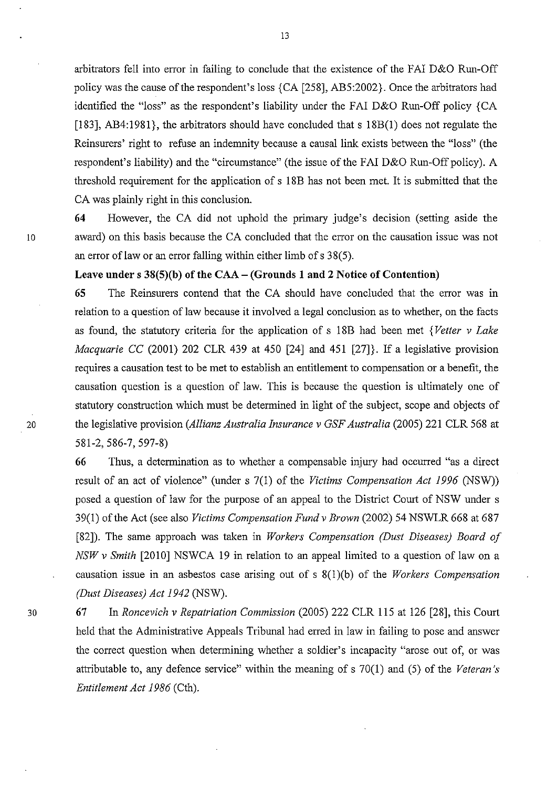arbitrators fell into error in failing to conclude that the existence of the FAI D&O Run-Off policy was the cause of the respondent's loss {CA [258], AB5:2002}. Once the arbitrators had identified the "loss" as the respondent's liability under the FAI D&O Run-Off policy {CA [183], AB4:1981}, the arbitrators should have concluded that s 18B(1) does not regulate the Reinsurers' right to refuse an indemnity because a causal link exists between the "loss" (the respondent's liability) and the "circumstance" (the issue of the FAI D&O Run-Off policy). A threshold requirement for the application of s 18B has not been met. It is submitted that the CA was plainly right in this conclusion.

64 However, the CA did not uphold the primary judge's decision (setting aside the 10 award) on this basis because the CA concluded that the error on the causation issue was not an error of law or an error falling within either limb of s 38(5).

## Leave under s  $38(5)(b)$  of the CAA – (Grounds 1 and 2 Notice of Contention)

65 The Reinsurers contend that the CA should have concluded that the error was in relation to a question of law because it involved a legal conclusion as to whether, on the facts as found, the statutory criteria for the application of s 18B had been met *{Vetter* v *Lake Macquarie* CC (2001) 202 CLR 439 at 450 [24] and 451 [27]}. If a legislative provision requires a causation test to be met to establish an entitlement to compensation or a benefit, the causation question is a question of law. This is because the question is ultimately one of statutory construction which must be determined in light of the subject, scope and objects of 20 the legislative provision *(Allianz Australia Insurance* v *GSF Australia* (2005) 221 CLR 568 at 581-2,586-7,597-8)

> 66 Thus, a determination as to whether a compensable injury had occurred "as a direct result of an act of violence" (under s 7(1) of the *Victims Compensation Act* 1996 (NSW)) posed a question of law for the purpose of an appeal to the District Court of NSW under s 39(1) of the Act (see also *Victims Compensation Fund* v *Brown* (2002) 54 NSWLR 668 at 687 [82]). The same approach was taken in *Workers Compensation (Dust Diseases) Board of NSW* v *Smith* [2010] NSWCA 19 in relation to an appeal limited to a question of law on a causation issue in an asbestos case arising out of s 8(1 )(b) of the *Wor.kers Compensation (Dust Diseases) Act* 1942 (NSW).

30 67 In *Roncevich* v *Repatriation Commission* (2005) 222 CLR 115 at 126 [28], this Court held that the Administrative Appeals Tribunal had erred in law in failing to pose and answer the correct question when determining whether a soldier's incapacity "arose out of, or was attributable to, any defence service" within the meaning of s 70(1) and (5) of the *Veteran's Entitlement Act* 1986 (Cth).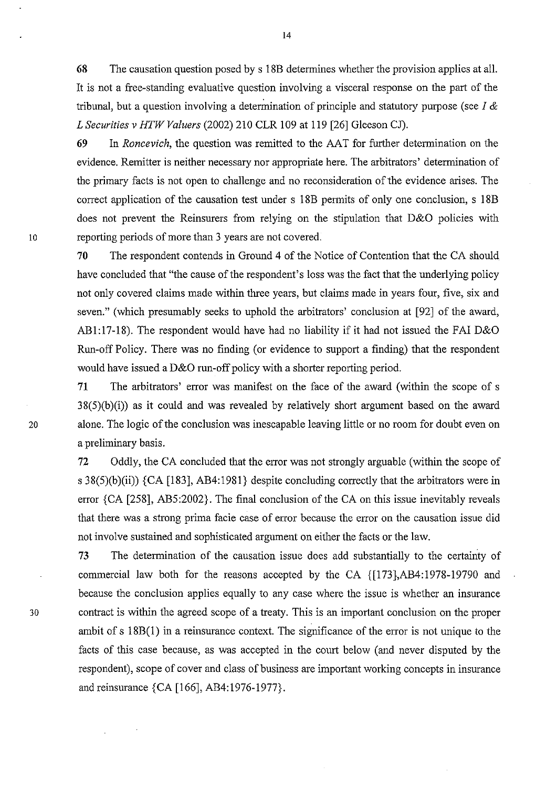68 The causation question posed by s 18B determines whether the provision applies at all. It is not a free-standing evaluative question involving a visceral response on the part of the tribunal, but a question involving a determination of principle and statutory purpose (see  $I \&$ *L Securities* v *HTW Valuers* (2002) 210 CLR 109 at 119 [26] Gleeson *Cl).* 

69 In *Roncevich,* the question was remitted to the AA T for further determination on the evidence. Remitter is neither necessary nor appropriate here. The arbitrators' determination of the primary facts is not open to challenge and no reconsideration of the evidence arises. The correct application of the causation test under s 18B permits of only one conclusion, s 18B does not prevent the Reinsurers from relying on the stipulation that D&O policies with 10 reporting periods of more than 3 years are not covered.

> 70 The respondent contends in Ground 4 of the Notice of Contention that the CA should have concluded that "the cause of the respondent's loss was the fact that the underlying policy not only covered claims made within three years, but claims made in years four, five, six and seven." (which presumably seeks to uphold the arbitrators' conclusion at [92] of the award, ABl:17-18). The respondent would have had no liability if it had not issued the FAI D&O Run-off Policy. There was no finding (or evidence to support a finding) that the respondent would have issued a D&O run-off policy with a shorter reporting period.

71 The arbitrators' error was manifest on the face of the award (within the scope of s  $38(5)(b)(i)$  as it could and was revealed by relatively short argument based on the award 20 alone. The logic of the conclusion was inescapable leaving little or no room for doubt even on a preliminary basis.

> 72 Oddly, the CA concluded that the error was not strongly arguable (within the scope of s  $38(5)(b)(ii)$  {CA [183], AB4:1981} despite concluding correctly that the arbitrators were in error {CA [258], AB5:2002}. The final conclusion of the CA on this issue inevitably reveals that there was a strong prima facie case of error because the error on the causation issue did not involve sustained and sophisticated argument on either the facts or the law.

73 The determination of the causation issue does add substantially to the certainty of commercial law both for the reasons accepted by the CA {[173},AB4:1978-19790 and because the conclusion applies equally to any case where the issue is whether an insurance 30 contract is within the agreed scope of a treaty. This is an important conclusion on the proper ambit of s 18B(1) in a reinsurance context. The significance of the error is not unique to the facts of this case because, as was accepted in the court below (and never disputed by the respondent), scope of cover and class of business are important working concepts in insurance and reinsurance {CA [166], AB4:1976-1977}.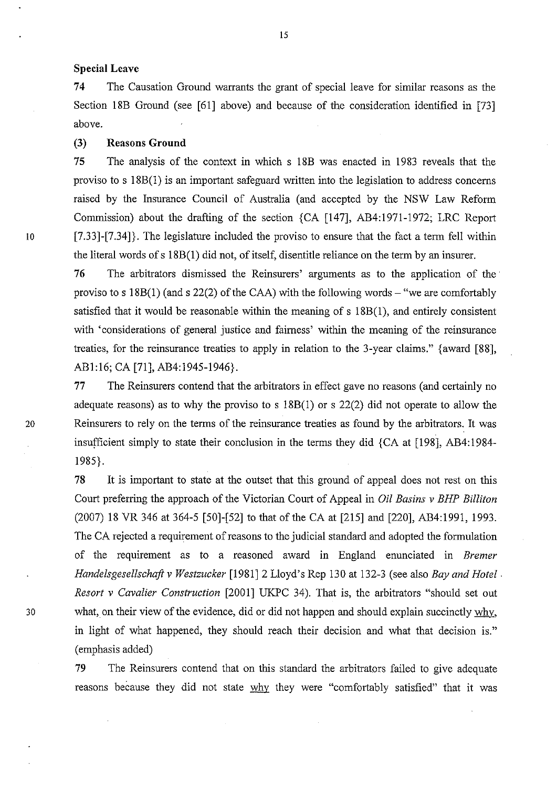## **Special** Leave

74 The Causation Ground warrants the grant of special leave for similar reasons as the Section 18B Ground (see [61] above) and because of the consideration identified in [73] above.

# (3) Reasons Ground

75 The analysis of the context in which s 18B was enacted in 1983 reveals that the proviso to s 18B(I) is an important safeguard written into the legislation to address concerns raised by the Insurance Council of Australia (and accepted by the NSW Law Reform Commission) about the drafting of the section {CA [147], AB4:1971-1972; LRC Report 10 [7.33]-[7.34]}. The legislature included the proviso to ensure that the fact a term fell within the literal words ofs 18B(I) did not, of itself, disentitle reliance on the term by an insurer.

76 The arbitrators dismissed the Reinsurers' arguments as to the application of the' proviso to s  $18B(1)$  (and s  $22(2)$  of the CAA) with the following words – "we are comfortably satisfied that it would be reasonable within the meaning of s 18B(l), and entirely consistent with 'considerations of general justice and fairness' within the meaning of the reinsurance treaties, for the reinsurance treaties to apply in relation to the 3-year claims." {award [88], ABl:16; CA [71], AB4:l94S-1946}.

77 The Reinsurers contend that the arbitrators in effect gave no reasons (and certainly no adequate reasons) as to why the proviso to s  $18B(1)$  or s  $22(2)$  did not operate to allow the 20 Reinsurers to rely on the terms of the reinsurance treaties as found by the arbitrators. It was insufficient simply to state their conclusion in the terms they did  ${CA$  at  $[198]$ , AB4:1984-1985}.

78 It is important to state at the outset that this ground of appeal does not rest on this Court preferring the approach of the Victorian Court of Appeal in *Oil Basins* v *BHP Billiton*  (2007) 18 VR 346 at 364-S [SO]-[S2] to that of the CA at [21S] and [220], AB4:1991, 1993. The CA rejected a requirement of reasons to the judicial standard and adopted the formulation of the requirement as to a reasoned award in England enunciated in *Bremer Handelsgesellschaft* v *Westzucker* [1981]2 Lloyd's Rep 130 at 132-3 (see also *Bay and Hotel. Resort* v *Cavalier Construction* [2001] UKPC 34). That is, the arbitrators "should set out 30 what, on their view of the evidence, did or did not happen and should explain succinctly why, in light of what happened, they should reach their decision and what that decision is." (emphasis added)

> 79 The Reinsurers contend that on this standard the arbitrators failed to give adequate reasons because they did not state why they were "comfortably satisfied" that it was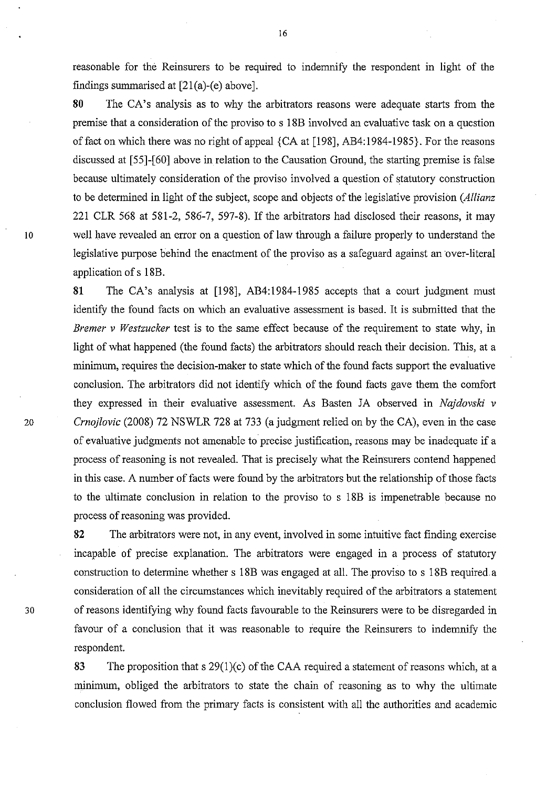reasonable for the Reinsurers to be required to indemnify the respondent in light of the findings summarised at [21(a)-(e) above].

16

**80** The CA's analysis as to why the arbitrators reasons were adequate starts from the premise that a consideration of the proviso to s 18B involved an evaluative task on a question of fact on which there was no right of appeal  ${CA$  at [198], AB4:1984-1985}. For the reasons discussed at [55]-[60] above in relation to the Causation Ground, the starting premise is false because ultimately consideration of the proviso involved a question of statutory construction to be determined in light of the subject, scope and objects of the legislative provision *(Allianz*  221 CLR 568 at 581-2, 586-7, 597-8). If the arbitrators had disclosed their reasons, it may 10 well have revealed an error on a question of law through a failure properly to understand the legislative purpose behind the enactment of the proviso as a safeguard against an over-literal application of s 18B.

**81** The CA's analysis at [198], AB4:1984-1985 accepts that a court judgment must identify the found facts on which an evaluative assessment is based. It is submitted that the *Bremer* v *Westzucker* test is to the same effect because of the requirement to state why, in light of what happened (the found facts) the arbitrators should reach their decision. This, at a minimum, requires the decision-maker to state which of the found facts support the evaluative conclusion. The arbitrators did not identify which of the found facts gave them the comfort they expressed in their evaluative assessment. As Basten JA observed in *Najdovski* v *20 Crnojlovic* (2008) 72 NSWLR 728 at 733 (a judgment relied on by the CA), even in the case of evaluative judgments not amenable to precise justification, reasons may be inadequate if a process of reasoning is not revealed. That is precisely what the Reinsurers contend happened in this case. A number of facts were found by the arbitrators but the relationship of those facts to the ultimate conclusion in relation to the proviso to s 18B is impenetrable because no process of reasoning was provided.

**82** The arbitrators were not, in any event, involved in some intuitive fact finding exercise incapable of precise explanation. The arbitrators were engaged in a process of statutory construction to determine whether s 18B was engaged at all. The proviso to s 18B required a consideration of all the circumstances which inevitably required of the arbitrators a statement 30 of reasons identifying why found facts favourable to the Reinsurers were to be disregarded in favour of a conclusion that it was reasonable to require the Reinsurers to indemnify the respondent.

> 83 The proposition that s  $29(1)(c)$  of the CAA required a statement of reasons which, at a minimum, obliged the arbitrators to state the chain of reasoning as to why the ultimate conclusion flowed from the primary facts is consistent with all the authorities and academic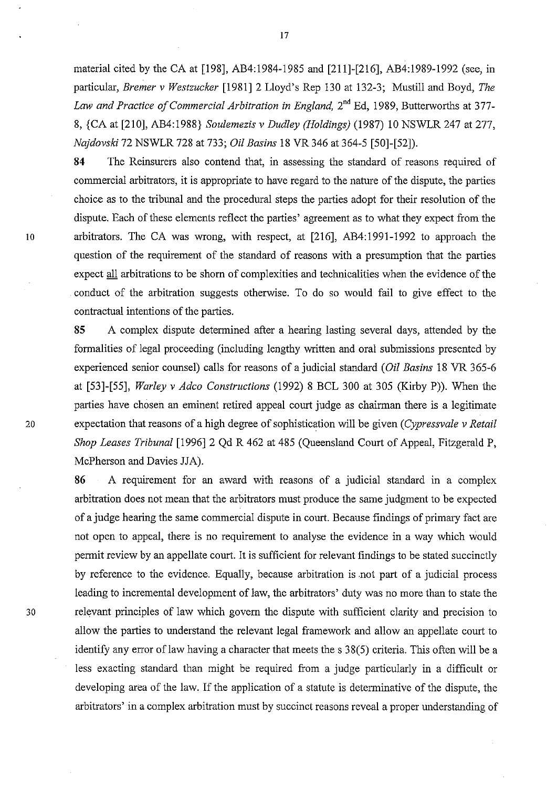material cited by the CA at [198], AB4:1984-1985 and [21l]-[216], AB4:1989-1992 (see, in particular, *Bremer* v *Westzucker* [1981] 2 Lloyd's Rep 130 at 132-3; Mustill and Boyd, *The Law and Practice of Commercial Arbitration in England,*  $2<sup>nd</sup>$  Ed, 1989, Butterworths at 377-8, {CA at [210], AB4:1988} *Soulemezis* v *Dudley (Holdings)* (1987) 10 NSWLR 247 at 277, *Najdovski* 72 NSWLR 728 at 733; *Oil Basins* 18 VR 346 at 364-5 [50]-[52]).

**84** The Reinsurers also contend that, in assessing the standard of reasons required of commercial arbitrators, it is appropriate to have regard to the nature of the dispute, the parties choice as to the tribunal and the procedural steps the parties adopt for their resolution of the dispute. Each of these elements reflect the parties' agreement as to what they expect from the 10 arbitrators. The CA was wrong, with respect, at [216], AB4:1991-1992 to approach the question of the requirement of the standard of reasons with a presumption that the parties expect all arbitrations to be shorn of complexities and technicalities when the evidence of the conduct of the arbitration suggests otherwise. To do so would fail to give effect to the contractual intentions of the parties.

**85** A complex dispute determined after a hearing lasting several days, attended by the formalities of legal proceeding (including lengthy written and oral submissions presented by experienced senior counsel) calls for reasons of a judicial standard *(Oil Basins* 18 VR 365-6 at [53]-[55], *Warley* v *Adco Constructions* (1992) 8 BCL 300 at 305 (Kirby P». When the parties have chosen an eminent retired appeal court judge as chairman there is a legitimate 20 expectation that reasons of a high degree of sophistication will be given *(Cypressvale* v *Retail Shop Leases Tribunal* [1996] 2 Qd R 462 at 485 (Queensland Court of Appeal, Fitzgerald P, McPherson and Davies JJA).

**86** A requirement for an award with reasons of a judicial standard in a complex arbitration does not mean that the arbitrators must produce the same judgment to be expected of a judge hearing the same commercial dispute in court. Because findings of primary fact are not open to appeal, there is no requirement to analyse the evidence in a way which would permit review by an appellate court. It is sufficient for relevant findings to be stated succinctly by reference to the evidence. Equally, because arbitration is .not part of a judicial process leading to incremental development of law, the arbitrators' duty was no more than to state the 30 relevant principles of law which govern the dispute with sufficient clarity and precision to allow the parties to understand the relevant legal framework and allow an appellate court to identify any error of law having a character that meets the s 38(5) criteria. This often will be a less exacting standard than might be required from a judge particularly in a difficult or developing area of the law. If the application of a statute is determinative of the dispute, the arbitrators' in a complex arbitration must by succinct reasons reveal a proper understanding of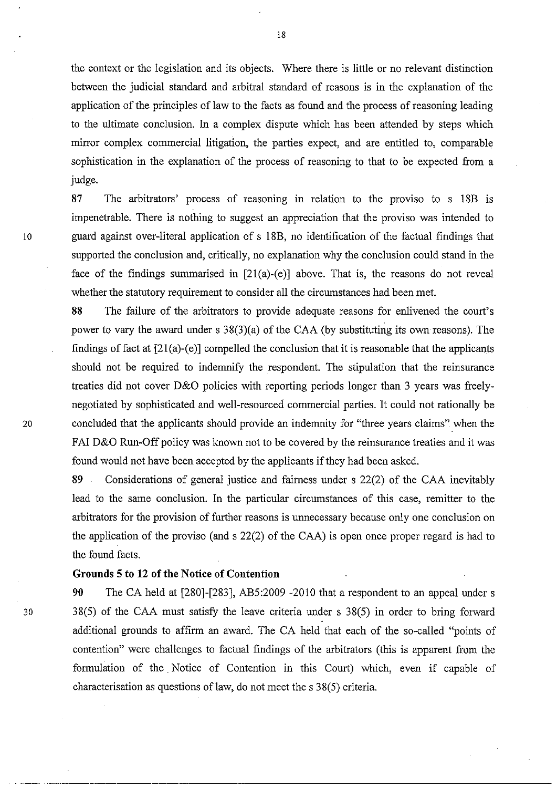the context or the legislation and its objects. Where there is little or no relevant distinction between the judicial standard and arbitral standard of reasons is in the explanation of the application of the principles of law to the facts as found and the process of reasoning leading to the ultimate conclusion. In a complex dispute which has been attended by steps which mirror complex commercial litigation, the parties expect, and are entitled to, comparable sophistication in the explanation of the process of reasoning to that to be expected from a judge.

**87** The arbitrators' process of reasoning in relation to the proviso to s 18B is impenetrable. There is nothing to suggest an appreciation that the proviso was intended to 10 guard against over-literal application of s 18B, no identification of the factual findings that supported the conclusion and, critically, no explanation why the conclusion could stand in the face of the findings summarised in  $[21(a)-(e)]$  above. That is, the reasons do not reveal whether the statutory requirement to consider all the circumstances had been met.

**88** The failure of the arbitrators to provide adequate reasons for enlivened the court's power to vary the award under s 38(3)(a) of the CAA (by substituting its own reasons). The findings of fact at  $[21(a)-(e)]$  compelled the conclusion that it is reasonable that the applicants should not be required to indemnify the respondent. The stipulation that the reinsurance treaties did not cover D&O policies with reporting periods longer than 3 years was freelynegotiated by sophisticated and well-resourced commercial parties. It could not rationally be 20 concluded that the applicants should provide an indemnity for "three years claims" when the FAI D&O Run-Off policy was known not to be covered by the reinsurance treaties and it was found would not have been accepted by the applicants if they had been asked.

> **89** Considerations of general justice and fairness under s 22(2) of the CAA inevitably lead to the same conclusion. In the particular circumstances of this case, remitter to the arbitrators for the provision of further reasons is unnecessary because only one conclusion on the application of the proviso (and s 22(2) of the CAA) is open once proper regard is had to the found facts.

# **Grounds 5 to 12** of the **Notice** of Contention

**90** The CA held at [280]-[283], AB5:2009 -2010 that a respondent to an appeal under s 30 38(5) of the CAA must satisfy the leave criteria under s 38(5) in order to bring forward additional grounds to affirm an award. The CA held that each of the so-called "points of contention" were challenges to factual findings of the arbitrators (this is apparent from the formulation of the. Notice of Contention in this Court) which, even if capable of characterisation as questions of law, do not meet the s 38(5) criteria.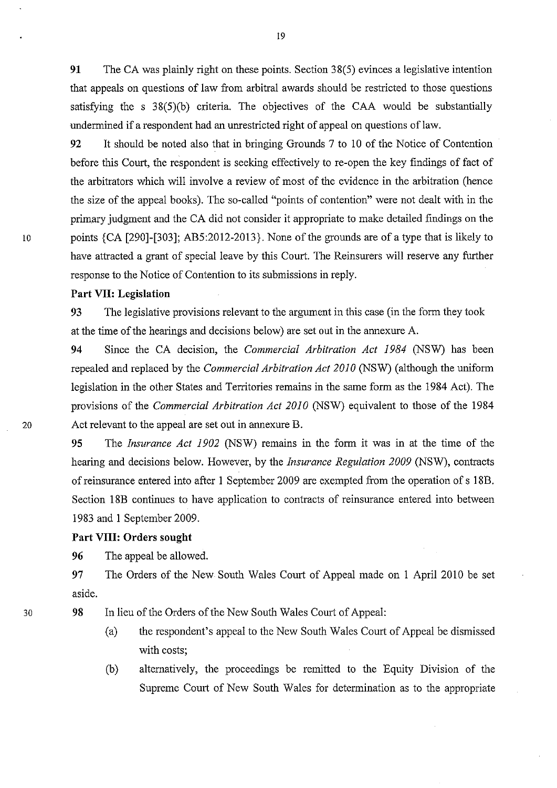91 The CA was plainly right on these points. Section 38(5) evinces a legislative intention that appeals on questions of law from arbitral awards should be restricted to those questions satisfying the s 38(5)(b) criteria. The objectives of the CAA would be substantially undermined if a respondent had an unrestricted right of appeal on questions of law.

92 It should be noted also that in bringing Grounds 7 to 10 of the Notice of Contention before this Court, the respondent is seeking effectively to re-open the key findings of fact of the arbitrators which will involve a review of most of the evidence in the arbitration (hence the size of the appeal books). The so-called "points of contention" were not dealt with in the primary judgment and the CA did not consider it appropriate to make detailed findings on the 10 points {CA [290]-[303]; AB5:2012-2013}. None of the grounds are of a type that is likely to have attracted a grant of special leave by this Court. The Reinsurers will reserve any further response to the Notice of Contention to its submissions in reply.

## Part VII: Legislation

93 The legislative provisions relevant to the argument in this case (in the form they took at the time of the hearings and decisions below) are set out in the annexure A.

94 Since the CA decision, the *Commercial Arbitration Act* 1984 (NSW) has been repealed and replaced by the *Commercial Arbitration Act 2010* (NSW) (although the uniform legislation in the other States and Territories remains in the same form as the 1984 Act). The provisions of the *Commercial Arbitration Act 2010* (NSW) equivalent to those of the 1984 20 Act relevant to the appeal are set out in annexure B.

> 95 The *Insurance Act 1902* (NSW) remains in the form it was in at the time of the hearing and decisions below. However, by the *Insurance Regulation 2009* (NSW), contracts of reinsurance entered into after I September 2009 are exempted from the operation of s 18B. Section 18B continues to have application to contracts of reinsurance entered into between 1983 and I September 2009.

# Part VIII: Orders sought

96 The appeal be allowed.

97 The Orders of the New South Wales Court of Appeal made on 1 April 2010 be set aside.

98 In lieu of the Orders of the New South Wales Court of Appeal:

- (a) the respondent's appeal to the New South Wales Court of Appeal be dismissed with costs;
- (b) alternatively, the proceedings be remitted to the Equity Division of the Supreme Court of New South Wales for determination as to the appropriate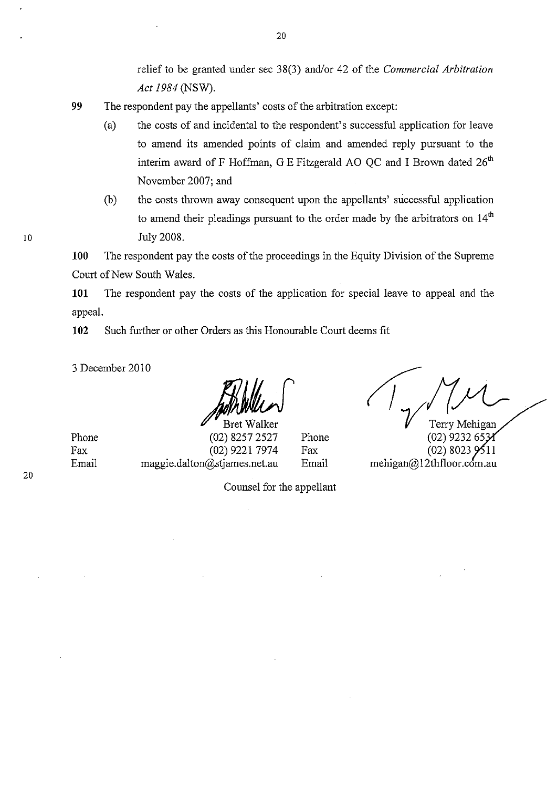relief to be granted under sec 38(3) and/or 42 of the *Commercial Arbitration Act* 1984 (NSW).

- **99** The respondent pay the appellants' costs of the arbitration except:
	- (a) the costs of and incidental to the respondent's successful application for leave to amend its amended points of claim and amended reply pursuant to the interim award of F Hoffman, G E Fitzgerald AO OC and I Brown dated  $26<sup>th</sup>$ November 2007; and
	- (b) the costs thrown away consequent upon the appellants' successful application to amend their pleadings pursuant to the order made by the arbitrators on  $14<sup>th</sup>$ July 2008.

**100** The respondent pay the costs of the proceedings in the Equity Division of the Supreme Court of New South Wales.

**101** The respondent pay the costs of the application for special leave to appeal and the appeal.

**102** Such further or other Orders as this Honourable Court deems fit

3 December 2010

Bret Walker (02) 8257 2527 (02) 9221 7974 maggie.dalton@stjames.net.au Phone Fax Email

*rery Mehigan* 

(02) 9232 65  $(02)$  8023 mehigan@12thfloor.com.au

Phone Fax Email

Counsel for the appellant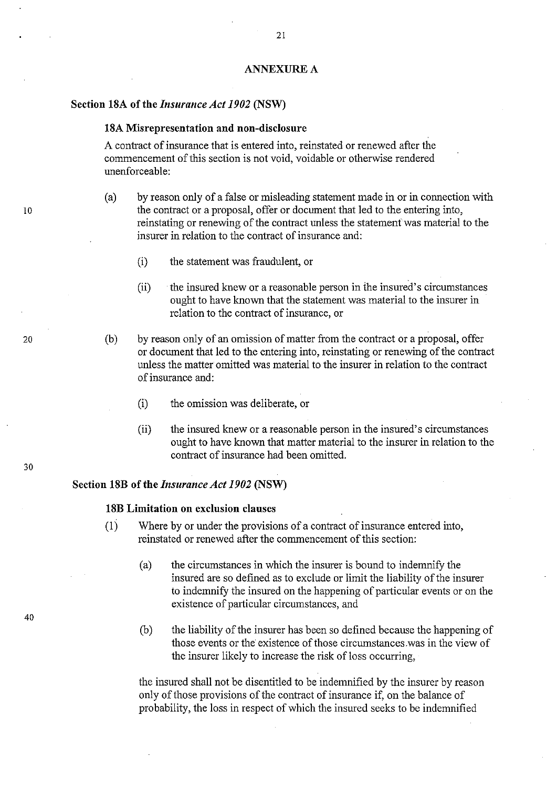#### ANNEXURE A

## **Section 18A** of the *Insurance Act 1902* **(NSW)**

## **18A Misrepresentation and non-disclosure**

A contract of insurance that is entered into, reinstated or renewed after the commencement of this section is not void, voidable or otherwise rendered unenforceable:

- (a) by reason only of a false or misleading statement made in or in connection with the contract or a proposal, offer or document that led to the entering into, reinstating or renewing of the contract unless the statemenf was material to the insurer in relation to the contract of insurance and:
	- (i) the statement was fraudulent, or
	- (ii) the insured knew or a reasonable person in the insured's circumstances ought to have known that the statement was material to the insurer in relation to the contract of insurance, or
- (b) by reason only of an omission of matter from the contract or a proposal, offer or document that led to the entering into, reinstating or renewing of the contract unless the matter omitted was material to the insurer in relation to the contract of insurance and:
	- (i) the omission was deliberate, or
	- (ii) the insured knew or a reasonable person in the insured's circumstances ought to have known that matter material to the insurer in relation to the contract of insurance had been omitted.

## **Section 18B of the** *Insurance Act 1902* **(NSW)**

## **18B Limitation on exclusion clauses**

- (1) Where by or under the provisions of a contract of insurance entered into, reinstated or renewed after the commencement of this section:
	- (a) the circumstances in which the insurer is bound to indemnify the insured are so defined as to exclude or limit the liability of the insurer to indemnify the insured on the happening of particular events or on the existence of particular circumstances, and
	- (b) the liability of the insurer has been so defined because the happening of those events or the existence of those circumstances .was in the view of the insurer likely to increase the risk of loss occurring,

the insured shall not be disentitled to be indemnified by the insurer by reason only of those provisions of the contract of insurance if, on the balance of probability, the loss in respect of which the insured seeks to be indemnified

30

10

20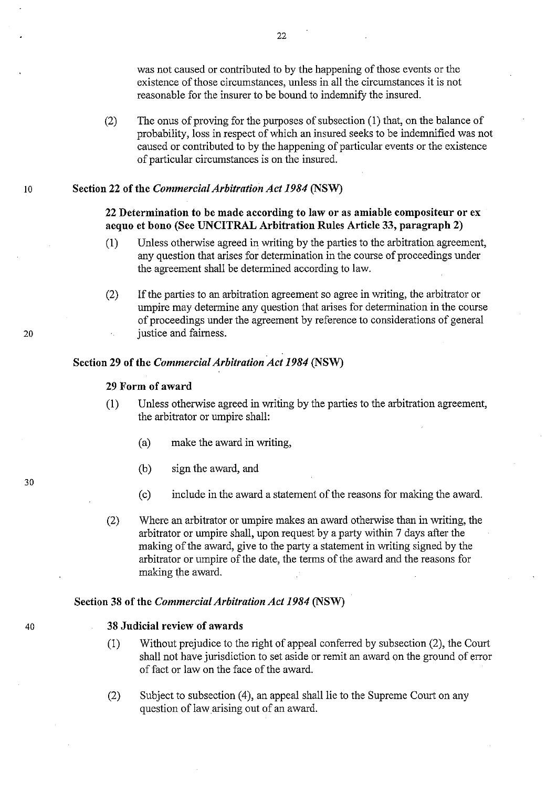was not caused or contributed to by the happening of those events or the existence of those circumstances, unless in all the circumstances it is not reasonable for the insurer to be bound to indemnify the insured.

(2) The onus of proving for the purposes of subsection (1) that, on the balance of probability, loss in respect of which an insured seeks to be indemnified was not caused or contributed to by the happening of particular events or the existence of particular circumstances is on the insured.

## 10 Section 22 of the *Commercial Arbitration Act* 1984 (NSW)

# 22 Determination to be made according to law or as amiable compositeur or ex aequo et bono (See UNCITRAL Arbitration Rules Article 33, paragraph 2)

- (1) Unless otherwise agreed in writing by the parties to the arbitration agreement, any question that arises for determination in the course of proceedings under the agreement shall be determined according to law.
- (2) If the parties to an arbitration agreement so agree in writing, the arbitrator or umpire may determine any question that arises for determination in the course of proceedings under the agreement by reference to considerations of general justice and fairness.

# Section 29 of the *Commercial Arbitration Act* 1984 (NSW)

## 29 Form of award

- (1) Unless otherwise agreed in writing by the parties to the arbitration agreement, the arbitrator or umpire shall:
	- (a) make the award in writing,
	- (b) sign the award, and
	- (c) include in the award a statement of the reasons for making the award.
- (2) Where an arbitrator or umpire makes an award otherwise than in writing, the arbitrator or umpire shall, upon request by a party within 7 days after the making of the award, give to the party a statement in writing signed by the arbitrator or umpire of the date, the terms of the award and the reasons for making the award.

## Section 38 of the *Commercial Arbitration Act* 1984 (NSW)

#### 38 Judicial review of awards

- (1) Without prejudice to the right of appeal conferred by subsection (2), the Court shall not have jurisdiction to set aside or remit an award on the ground of error of fact or law on the face of the award.
- (2) Subject to subsection (4), an appeal shall lie to the Supreme Court on any question of law arising out of an award.

30

40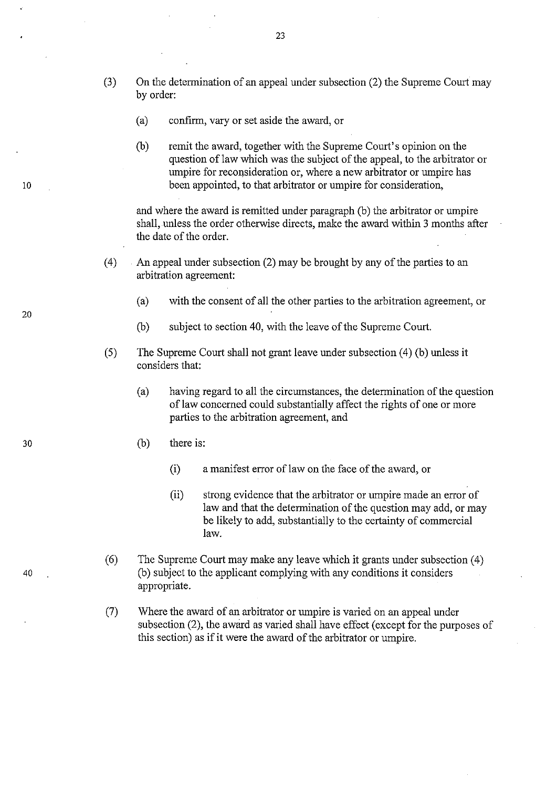- (3) On the determination of an appeal under subsection (2) the Supreme Court may by order:
	- (a) confirm, vary or set aside the award, or
	- (b) remit the award, together with the Supreme Court's opinion on the question of law which was the subject of the appeal, to the arbitrator or umpire for reconsideration or, where a new arbitrator or umpire has been appointed, to that arbitrator or umpire for consideration,

and where the award is remitted under paragraph (b) the arbitrator or umpire shall, unless the order otherwise directs, make the award within 3 months after the date of the order.

- (4) . An appeal under subsection (2) may be brought by any of the parties to an arbitration agreement:
	- (a) with the consent of all the other parties to the arbitration agreement, or
	- (b) subject to section 40, with the leave of the Supreme Court.
- (5) The Supreme Court shall not grant leave under subsection (4) (b) unless it considers that:
	- (a) having regard to all the circumstances, the determination of the question of law concerned could substantially affect the rights of one or more parties to the arbitration agreement, and
	- (b) there is:
		- (i) a manifest error of law on the face of the award, or
		- (ii) strong evidence that the arbitrator or umpire made an error of law and that the determination of the question may add, or may be likely to add, substantially to the certainty of commercial law.
- (6) The Supreme Court may make any leave which it grants under subsection (4) (b) subject to the applicant complying with any conditions it considers appropriate.
- (7) Where the award of an arbitrator or umpire is varied on an appeal under subsection (2), the award as varied shall have effect (except for the purposes of this section) as if it were the award of the arbitrator or umpire.

20

10

30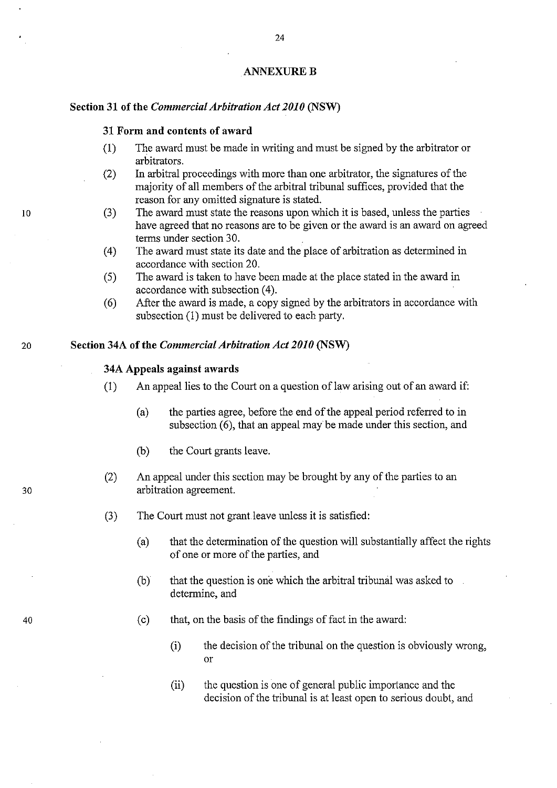#### **ANNEXURE B**

24

## Section 31 of the *Commercial Arbitration Act 2010* (NSW)

# 31 Form and contents of award

- (I) The award must be made in writing and must be signed by the arbitrator or arbitrators.
- (2) In arbitral proceedings with more than one arbitrator, the signatures of the majority of all members of the arbitral tribunal suffices, provided that the reason for any omitted signature is stated.
- (3) The award must state the reasons upon which it is based, unless the parties have agreed that no reasons are to be given or the award is an award on agreed terms under section 30.
- (4) The award must state its date and the place of arbitration as determined in accordance with section 20.
- (5) The award is taken to have been made at the place stated in the award in accordance with subsection (4).
- (6) After the award is made, a copy signed by the arbitrators in accordance with subsection (1) must be delivered to each party.

## 20 Section 34A of the *Commercial Arbitration Act 2010* (NSW)

## 34A Appeals against awards

- (1) An appeal lies to the Court on a question of law arising out of an award if:
	- $(a)$  the parties agree, before the end of the appeal period referred to in subsection (6), that an appeal may be made under this section, and
	- (b) the Court grants leave.
- (2) An appeal under this section may be brought by any of the parties to an arbitration agreement.
- (3) The Court must not grant leave unless it is satisfied:
	- (a) that the determination of the question will substantially affect the rights of one or more of the parties, and
	- (b) that the question is one which the arbitral tribunal was asked to determine, and
	- (c) that, on the basis of the findings of fact in the award:
		- (i) the decision of the tribunal on the question is obviously wrong, or
		- (ii) the question is one of general public importance and the decision of the tribunal is at least open to serious doubt, and